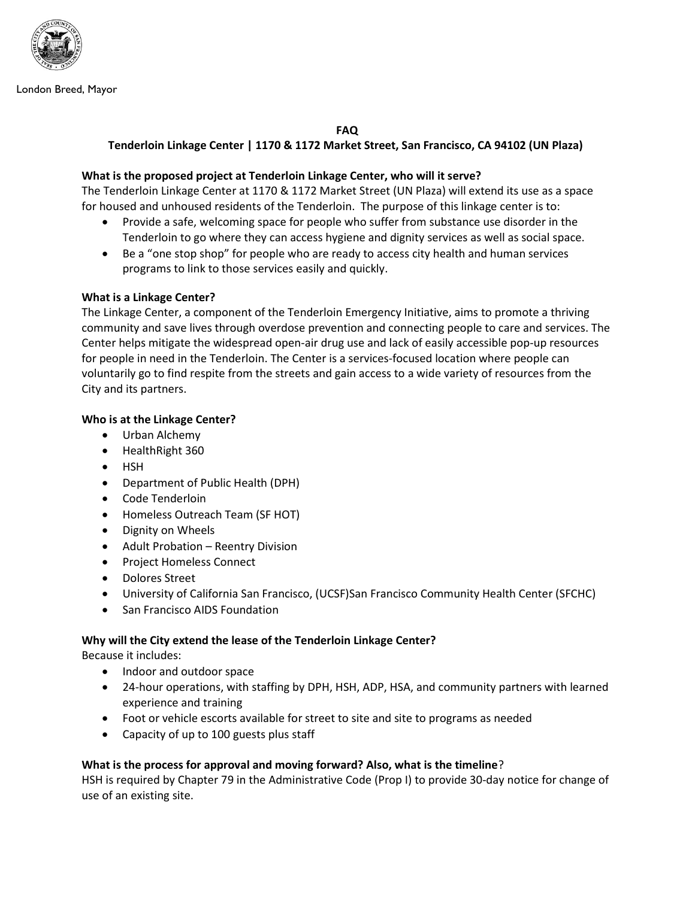

London Breed, Mayor

FAQ

# Tenderloin Linkage Center | 1170 & 1172 Market Street, San Francisco, CA 94102 (UN Plaza)

## What is the proposed project at Tenderloin Linkage Center, who will it serve?

The Tenderloin Linkage Center at 1170 & 1172 Market Street (UN Plaza) will extend its use as a space for housed and unhoused residents of the Tenderloin. The purpose of this linkage center is to:

- Provide a safe, welcoming space for people who suffer from substance use disorder in the Tenderloin to go where they can access hygiene and dignity services as well as social space.
- Be a "one stop shop" for people who are ready to access city health and human services programs to link to those services easily and quickly.

## What is a Linkage Center?

The Linkage Center, a component of the Tenderloin Emergency Initiative, aims to promote a thriving community and save lives through overdose prevention and connecting people to care and services. The Center helps mitigate the widespread open-air drug use and lack of easily accessible pop-up resources for people in need in the Tenderloin. The Center is a services-focused location where people can voluntarily go to find respite from the streets and gain access to a wide variety of resources from the City and its partners.

### Who is at the Linkage Center?

- Urban Alchemy
- HealthRight 360
- HSH
- Department of Public Health (DPH)
- Code Tenderloin
- Homeless Outreach Team (SF HOT)
- Dignity on Wheels
- Adult Probation Reentry Division
- Project Homeless Connect
- Dolores Street
- University of California San Francisco, (UCSF)San Francisco Community Health Center (SFCHC)
- San Francisco AIDS Foundation

## Why will the City extend the lease of the Tenderloin Linkage Center?

Because it includes:

- Indoor and outdoor space
- 24-hour operations, with staffing by DPH, HSH, ADP, HSA, and community partners with learned experience and training
- Foot or vehicle escorts available for street to site and site to programs as needed
- Capacity of up to 100 guests plus staff

## What is the process for approval and moving forward? Also, what is the timeline?

HSH is required by Chapter 79 in the Administrative Code (Prop I) to provide 30-day notice for change of use of an existing site.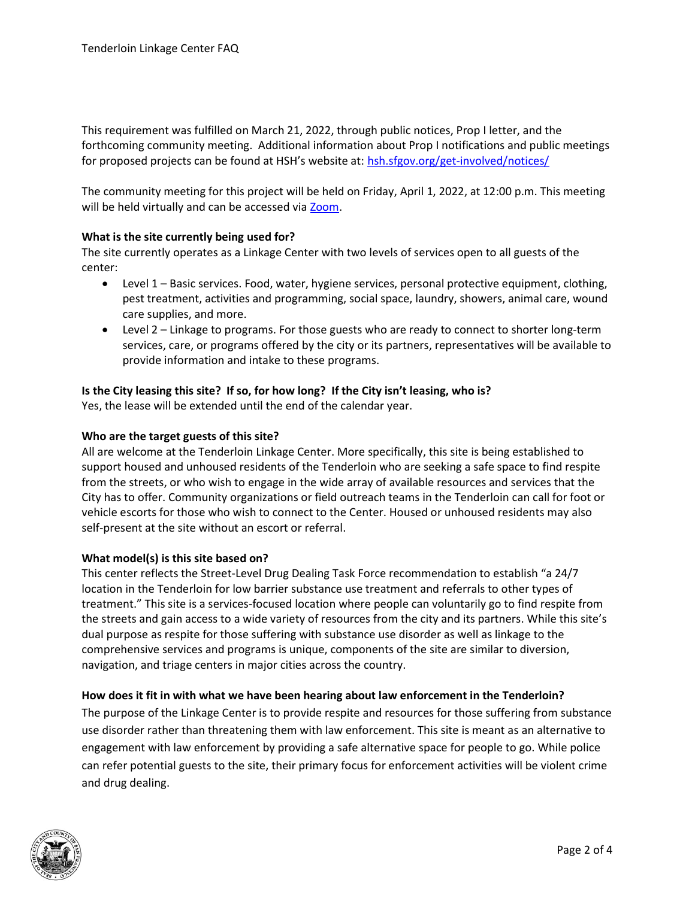This requirement was fulfilled on March 21, 2022, through public notices, Prop I letter, and the forthcoming community meeting. Additional information about Prop I notifications and public meetings for proposed projects can be found at HSH's website at: hsh.sfgov.org/get-involved/notices/

The community meeting for this project will be held on Friday, April 1, 2022, at 12:00 p.m. This meeting will be held virtually and can be accessed via Zoom.

## What is the site currently being used for?

The site currently operates as a Linkage Center with two levels of services open to all guests of the center:

- Level 1 Basic services. Food, water, hygiene services, personal protective equipment, clothing, pest treatment, activities and programming, social space, laundry, showers, animal care, wound care supplies, and more.
- Level 2 Linkage to programs. For those guests who are ready to connect to shorter long-term services, care, or programs offered by the city or its partners, representatives will be available to provide information and intake to these programs.

## Is the City leasing this site? If so, for how long? If the City isn't leasing, who is?

Yes, the lease will be extended until the end of the calendar year.

### Who are the target guests of this site?

All are welcome at the Tenderloin Linkage Center. More specifically, this site is being established to support housed and unhoused residents of the Tenderloin who are seeking a safe space to find respite from the streets, or who wish to engage in the wide array of available resources and services that the City has to offer. Community organizations or field outreach teams in the Tenderloin can call for foot or vehicle escorts for those who wish to connect to the Center. Housed or unhoused residents may also self-present at the site without an escort or referral.

#### What model(s) is this site based on?

This center reflects the Street-Level Drug Dealing Task Force recommendation to establish "a 24/7 location in the Tenderloin for low barrier substance use treatment and referrals to other types of treatment." This site is a services-focused location where people can voluntarily go to find respite from the streets and gain access to a wide variety of resources from the city and its partners. While this site's dual purpose as respite for those suffering with substance use disorder as well as linkage to the comprehensive services and programs is unique, components of the site are similar to diversion, navigation, and triage centers in major cities across the country.

#### How does it fit in with what we have been hearing about law enforcement in the Tenderloin?

The purpose of the Linkage Center is to provide respite and resources for those suffering from substance use disorder rather than threatening them with law enforcement. This site is meant as an alternative to engagement with law enforcement by providing a safe alternative space for people to go. While police can refer potential guests to the site, their primary focus for enforcement activities will be violent crime and drug dealing.

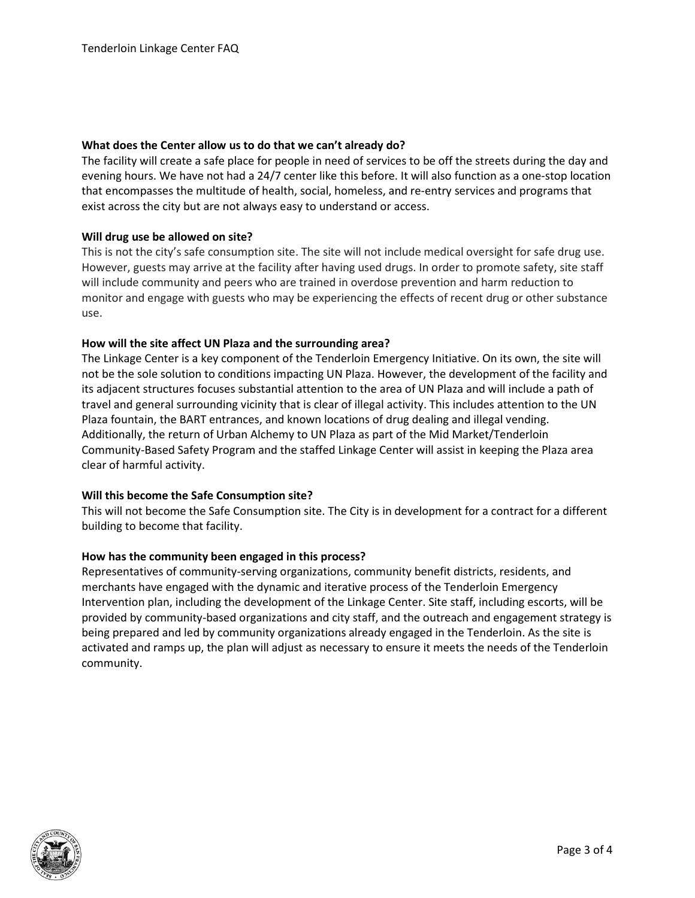### What does the Center allow us to do that we can't already do?

The facility will create a safe place for people in need of services to be off the streets during the day and evening hours. We have not had a 24/7 center like this before. It will also function as a one-stop location that encompasses the multitude of health, social, homeless, and re-entry services and programs that exist across the city but are not always easy to understand or access.

## Will drug use be allowed on site?

This is not the city's safe consumption site. The site will not include medical oversight for safe drug use. However, guests may arrive at the facility after having used drugs. In order to promote safety, site staff will include community and peers who are trained in overdose prevention and harm reduction to monitor and engage with guests who may be experiencing the effects of recent drug or other substance use.

### How will the site affect UN Plaza and the surrounding area?

The Linkage Center is a key component of the Tenderloin Emergency Initiative. On its own, the site will not be the sole solution to conditions impacting UN Plaza. However, the development of the facility and its adjacent structures focuses substantial attention to the area of UN Plaza and will include a path of travel and general surrounding vicinity that is clear of illegal activity. This includes attention to the UN Plaza fountain, the BART entrances, and known locations of drug dealing and illegal vending. Additionally, the return of Urban Alchemy to UN Plaza as part of the Mid Market/Tenderloin Community-Based Safety Program and the staffed Linkage Center will assist in keeping the Plaza area clear of harmful activity.

## Will this become the Safe Consumption site?

This will not become the Safe Consumption site. The City is in development for a contract for a different building to become that facility.

#### How has the community been engaged in this process?

Representatives of community-serving organizations, community benefit districts, residents, and merchants have engaged with the dynamic and iterative process of the Tenderloin Emergency Intervention plan, including the development of the Linkage Center. Site staff, including escorts, will be provided by community-based organizations and city staff, and the outreach and engagement strategy is being prepared and led by community organizations already engaged in the Tenderloin. As the site is activated and ramps up, the plan will adjust as necessary to ensure it meets the needs of the Tenderloin community.